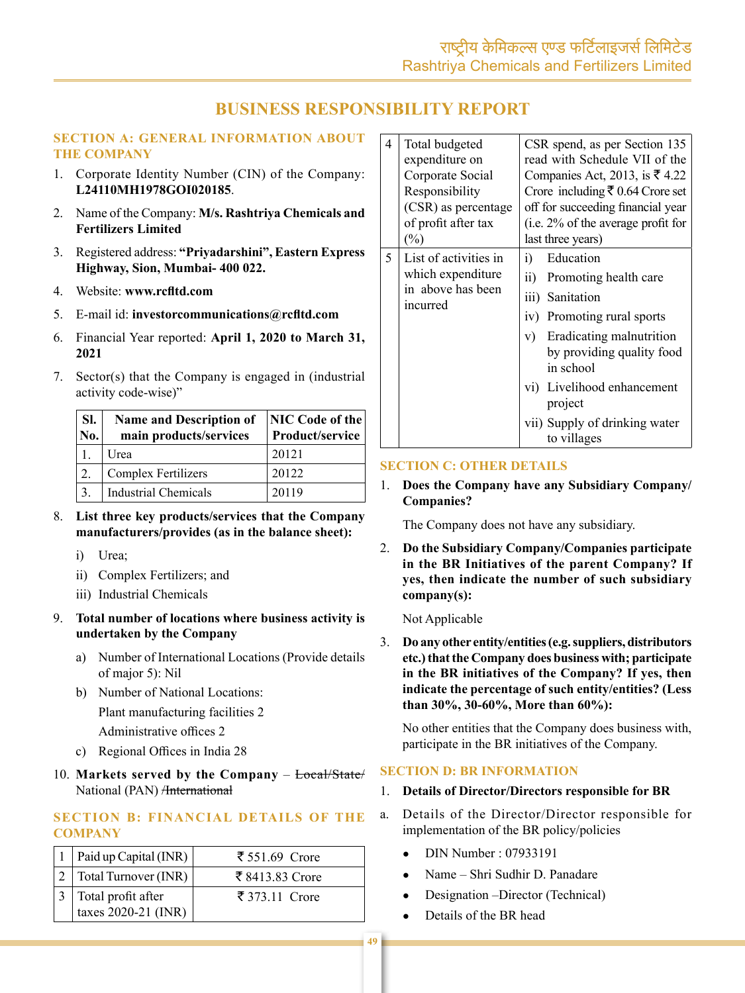# **BUSINESS RESPONSIBILITY REPORT**

### **SECTION A: GENERAL INFORMATION ABOUT THE COMPANY**

- 1. Corporate Identity Number (CIN) of the Company: L24110MH1978GOI020185
- 2. Name of the Company: M/s. Rashtriya Chemicals and **Fertilizers Limited**
- 3. Registered address: "Priyadarshini", Eastern Express Highway, Sion, Mumbai- 400 022.
- 4. Website: www.rcfltd.com
- 5. E-mail id: investor communications@rcfltd.com
- 6. Financial Year reported: April 1, 2020 to March 31, 2021
- 7. Sector(s) that the Company is engaged in (industrial activity code-wise)"

| SI.<br>No. | <b>Name and Description of</b><br>main products/services | NIC Code of the<br>Product/service |
|------------|----------------------------------------------------------|------------------------------------|
|            | Urea                                                     | 20121                              |
| 2.         | <b>Complex Fertilizers</b>                               | 20122                              |
| 3.         | Industrial Chemicals                                     | 20119                              |

- 8. List three key products/services that the Company manufacturers/provides (as in the balance sheet):
	- i) Urea;
	- ii) Complex Fertilizers; and
	- iii) Industrial Chemicals
- 9. Total number of locations where business activity is undertaken by the Company
	- a) Number of International Locations (Provide details of major 5): Nil
	- b) Number of National Locations: Plant manufacturing facilities 2 Administrative offices 2
	- c) Regional Offices in India 28
- 10. Markets served by the Company Local/State/ National (PAN) <del>/International</del>

# **SECTION B: FINANCIAL DETAILS OF THE COMPANY**

| 1   Paid up Capital (INR)                                                                                 | ₹ 551.69 Crore  |
|-----------------------------------------------------------------------------------------------------------|-----------------|
| $ 2 $ Total Turnover (INR)                                                                                | ₹ 8413.83 Crore |
| $\begin{array}{ c c c }\n3 & \text{Total profit after} \\ \hline \text{taxes 2020-21 (INR)}\n\end{array}$ | ₹ 373.11 Crore  |

| 4 | Total budgeted<br>expenditure on<br>Corporate Social<br>Responsibility<br>(CSR) as percentage<br>of profit after tax<br>$(\%)$ | CSR spend, as per Section 135<br>read with Schedule VII of the<br>Companies Act, 2013, is $\overline{\xi}$ 4.22<br>Crore including ₹ 0.64 Crore set<br>off for succeeding financial year<br>(i.e. 2% of the average profit for<br>last three years)                                   |  |  |  |  |
|---|--------------------------------------------------------------------------------------------------------------------------------|---------------------------------------------------------------------------------------------------------------------------------------------------------------------------------------------------------------------------------------------------------------------------------------|--|--|--|--|
| 5 | List of activities in<br>which expenditure<br>in above has been<br>incurred                                                    | Education<br>i)<br>$\ddot{\text{ii}})$<br>Promoting health care<br>iii) Sanitation<br>iv) Promoting rural sports<br>Eradicating malnutrition<br>V)<br>by providing quality food<br>in school<br>vi) Livelihood enhancement<br>project<br>vii) Supply of drinking water<br>to villages |  |  |  |  |

### **SECTION C: OTHER DETAILS**

1. Does the Company have any Subsidiary Company/ **Companies?** 

The Company does not have any subsidiary.

2. Do the Subsidiary Company/Companies participate in the BR Initiatives of the parent Company? If yes, then indicate the number of such subsidiary  $company(s):$ 

#### Not Applicable

3. Do any other entity/entities (e.g. suppliers, distributors etc.) that the Company does business with; participate in the BR initiatives of the Company? If yes, then indicate the percentage of such entity/entities? (Less than  $30\%$ ,  $30-60\%$ , More than  $60\%$ ):

No other entities that the Company does business with, participate in the BR initiatives of the Company.

#### **SECTION D: BR INFORMATION**

- 1. Details of Director/Directors responsible for BR
- Details of the Director/Director responsible for a. implementation of the BR policy/policies
	- DIN Number: 07933191
	- Name Shri Sudhir D. Panadare
	- Designation –Director (Technical)
	- Details of the BR head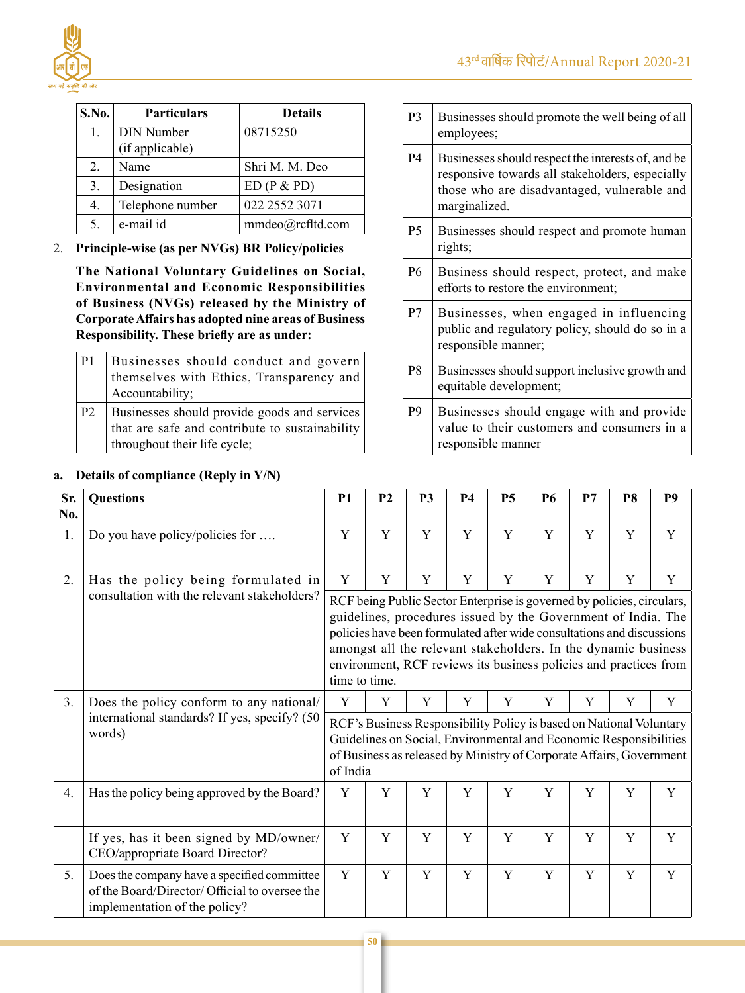

| S.No.            | <b>Particulars</b>                   | <b>Details</b>   |
|------------------|--------------------------------------|------------------|
| 1.               | <b>DIN Number</b><br>(if applicable) | 08715250         |
| 2.               | Name                                 | Shri M. M. Deo   |
| 3.               | Designation                          | ED(P & PD)       |
| $\overline{4}$ . | Telephone number                     | 022 2552 3071    |
| 5.               | e-mail id                            | mmdeo@rcfltd.com |
|                  |                                      |                  |

# 2. **Principle-wise (as per NVGs) BR Policy/policies**

 **The National Voluntary Guidelines on Social, Environmental and Economic Responsibilities of Business (NVGs) released by the Ministry of CorporateAffairs has adopted nine areas of Business Responsibility. These briefly are as under:**

| P <sub>1</sub> | Businesses should conduct and govern<br>themselves with Ethics, Transparency and<br>Accountability;                            |
|----------------|--------------------------------------------------------------------------------------------------------------------------------|
| P <sub>2</sub> | Businesses should provide goods and services<br>that are safe and contribute to sustainability<br>throughout their life cycle; |

# **a. Details of compliance (Reply in Y/N)**

| P <sub>3</sub> | Businesses should promote the well being of all<br>employees;                                                                                                         |
|----------------|-----------------------------------------------------------------------------------------------------------------------------------------------------------------------|
| P4             | Businesses should respect the interests of, and be<br>responsive towards all stakeholders, especially<br>those who are disadvantaged, vulnerable and<br>marginalized. |
| P <sub>5</sub> | Businesses should respect and promote human<br>rights;                                                                                                                |
| P <sub>6</sub> | Business should respect, protect, and make<br>efforts to restore the environment;                                                                                     |
| P7             | Businesses, when engaged in influencing<br>public and regulatory policy, should do so in a<br>responsible manner;                                                     |
| P8             | Businesses should support inclusive growth and<br>equitable development;                                                                                              |
| P <sub>9</sub> | Businesses should engage with and provide<br>value to their customers and consumers in a<br>responsible manner                                                        |

| Sr.<br>No. | <b>Questions</b>                                                                                                               | <b>P1</b>                                                                                                                                                                                                                                                                                                                                                                 | P <sub>2</sub> | P <sub>3</sub> | <b>P4</b> | <b>P5</b> | <b>P6</b> | P7 | P <sub>8</sub> | <b>P9</b> |
|------------|--------------------------------------------------------------------------------------------------------------------------------|---------------------------------------------------------------------------------------------------------------------------------------------------------------------------------------------------------------------------------------------------------------------------------------------------------------------------------------------------------------------------|----------------|----------------|-----------|-----------|-----------|----|----------------|-----------|
| 1.         | Do you have policy/policies for                                                                                                | Y                                                                                                                                                                                                                                                                                                                                                                         | Y              | Y              | Y         | Y         | Y         | Y  | Y              | Y         |
| 2.         | Has the policy being formulated in                                                                                             | Y                                                                                                                                                                                                                                                                                                                                                                         | Y              | Y              | Y         | Y         | Y         | Y  | Y              | Y         |
|            | consultation with the relevant stakeholders?                                                                                   | RCF being Public Sector Enterprise is governed by policies, circulars,<br>guidelines, procedures issued by the Government of India. The<br>policies have been formulated after wide consultations and discussions<br>amongst all the relevant stakeholders. In the dynamic business<br>environment, RCF reviews its business policies and practices from<br>time to time. |                |                |           |           |           |    |                |           |
| 3.         | Does the policy conform to any national/                                                                                       | Y                                                                                                                                                                                                                                                                                                                                                                         | Y              | Y              | Y         | Y         | Y         | Y  | Y              | Y         |
|            | international standards? If yes, specify? (50<br>words)                                                                        | RCF's Business Responsibility Policy is based on National Voluntary<br>Guidelines on Social, Environmental and Economic Responsibilities<br>of Business as released by Ministry of Corporate Affairs, Government<br>of India                                                                                                                                              |                |                |           |           |           |    |                |           |
| 4.         | Has the policy being approved by the Board?                                                                                    | Y                                                                                                                                                                                                                                                                                                                                                                         | Y              | Y              | Y         | Y         | Y         | Y  | Y              | Y         |
|            | If yes, has it been signed by MD/owner/<br>CEO/appropriate Board Director?                                                     | Y                                                                                                                                                                                                                                                                                                                                                                         | Y              | Y              | Y         | Y         | Y         | Y  | Y              | Y         |
| 5.         | Does the company have a specified committee<br>of the Board/Director/ Official to oversee the<br>implementation of the policy? | Y                                                                                                                                                                                                                                                                                                                                                                         | Y              | Y              | Y         | Y         | Y         | Y  | Y              | Y         |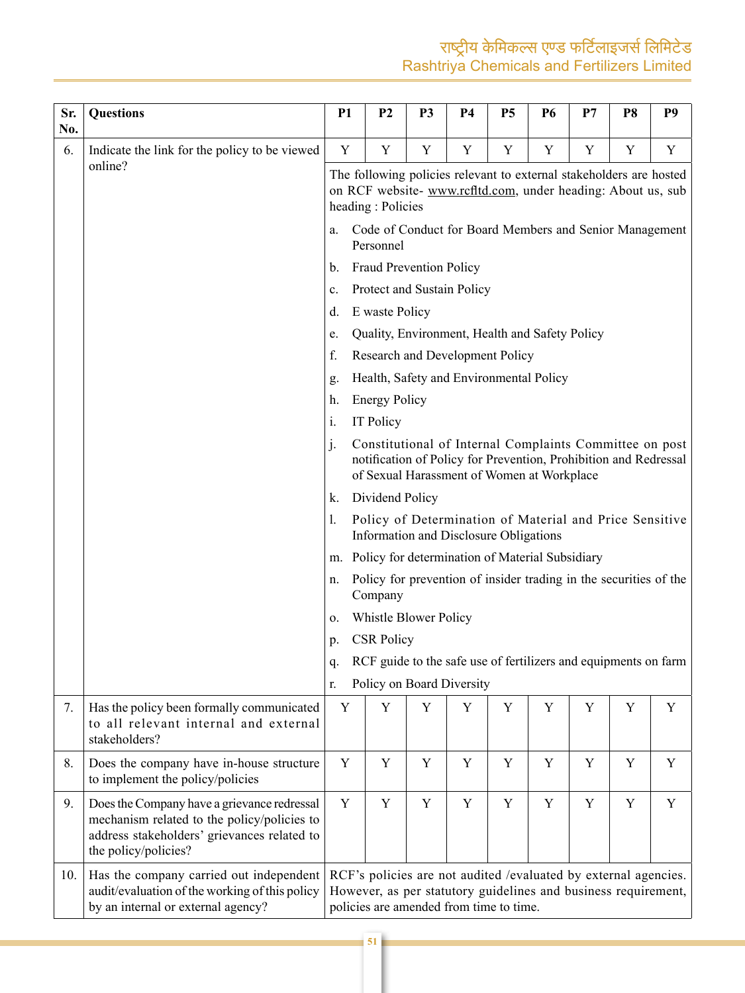| Sr.<br>No. | <b>Questions</b>                                                                                                                                                  | <b>P1</b>      | P <sub>2</sub>                                                       | <b>P3</b>                      | P4                                              | <b>P5</b> | <b>P6</b> | P7                                                                                                                                  | P <sub>8</sub> | P <sub>9</sub> |
|------------|-------------------------------------------------------------------------------------------------------------------------------------------------------------------|----------------|----------------------------------------------------------------------|--------------------------------|-------------------------------------------------|-----------|-----------|-------------------------------------------------------------------------------------------------------------------------------------|----------------|----------------|
| 6.         | Indicate the link for the policy to be viewed                                                                                                                     | Y              | Y                                                                    | Y                              | Y                                               | Y         | Y         | Y                                                                                                                                   | Y              | Y              |
|            | online?                                                                                                                                                           |                | heading: Policies                                                    |                                |                                                 |           |           | The following policies relevant to external stakeholders are hosted<br>on RCF website- www.rcfltd.com, under heading: About us, sub |                |                |
|            |                                                                                                                                                                   | a.             | Code of Conduct for Board Members and Senior Management<br>Personnel |                                |                                                 |           |           |                                                                                                                                     |                |                |
|            |                                                                                                                                                                   | b.             |                                                                      | <b>Fraud Prevention Policy</b> |                                                 |           |           |                                                                                                                                     |                |                |
|            |                                                                                                                                                                   | c.             |                                                                      |                                | Protect and Sustain Policy                      |           |           |                                                                                                                                     |                |                |
|            |                                                                                                                                                                   | d.             | E waste Policy                                                       |                                |                                                 |           |           |                                                                                                                                     |                |                |
|            |                                                                                                                                                                   | e.             |                                                                      |                                | Quality, Environment, Health and Safety Policy  |           |           |                                                                                                                                     |                |                |
|            |                                                                                                                                                                   | f.             |                                                                      |                                | Research and Development Policy                 |           |           |                                                                                                                                     |                |                |
|            |                                                                                                                                                                   | g.             |                                                                      |                                | Health, Safety and Environmental Policy         |           |           |                                                                                                                                     |                |                |
|            |                                                                                                                                                                   | h.             | <b>Energy Policy</b>                                                 |                                |                                                 |           |           |                                                                                                                                     |                |                |
|            |                                                                                                                                                                   | i.             | IT Policy                                                            |                                |                                                 |           |           |                                                                                                                                     |                |                |
|            |                                                                                                                                                                   | $\mathbf{j}$ . |                                                                      |                                | of Sexual Harassment of Women at Workplace      |           |           | Constitutional of Internal Complaints Committee on post<br>notification of Policy for Prevention, Prohibition and Redressal         |                |                |
|            |                                                                                                                                                                   | k.             | Dividend Policy                                                      |                                |                                                 |           |           |                                                                                                                                     |                |                |
|            |                                                                                                                                                                   | 1.             |                                                                      |                                | Information and Disclosure Obligations          |           |           | Policy of Determination of Material and Price Sensitive                                                                             |                |                |
|            |                                                                                                                                                                   | m.             |                                                                      |                                | Policy for determination of Material Subsidiary |           |           |                                                                                                                                     |                |                |
|            |                                                                                                                                                                   | n.             | Company                                                              |                                |                                                 |           |           | Policy for prevention of insider trading in the securities of the                                                                   |                |                |
|            |                                                                                                                                                                   | о.             |                                                                      | Whistle Blower Policy          |                                                 |           |           |                                                                                                                                     |                |                |
|            |                                                                                                                                                                   | p.             | <b>CSR Policy</b>                                                    |                                |                                                 |           |           |                                                                                                                                     |                |                |
|            |                                                                                                                                                                   | q.             |                                                                      |                                |                                                 |           |           | RCF guide to the safe use of fertilizers and equipments on farm                                                                     |                |                |
|            |                                                                                                                                                                   | r.             |                                                                      |                                | Policy on Board Diversity                       |           |           |                                                                                                                                     |                |                |
| 7.         | Has the policy been formally communicated<br>to all relevant internal and external<br>stakeholders?                                                               | Y              | Y                                                                    | Y                              | Y                                               | Y         | Y         | Y                                                                                                                                   | Y              | Y              |
| 8.         | Does the company have in-house structure<br>to implement the policy/policies                                                                                      | Y              | Y                                                                    | Y                              | Y                                               | Y         | Y         | Y                                                                                                                                   | Y              | Y              |
| 9.         | Does the Company have a grievance redressal<br>mechanism related to the policy/policies to<br>address stakeholders' grievances related to<br>the policy/policies? | Y              | Y                                                                    | Y                              | Y                                               | Y         | Y         | Y                                                                                                                                   | Y              | Y              |
| 10.        | Has the company carried out independent<br>audit/evaluation of the working of this policy<br>by an internal or external agency?                                   |                |                                                                      |                                | policies are amended from time to time.         |           |           | RCF's policies are not audited /evaluated by external agencies.<br>However, as per statutory guidelines and business requirement,   |                |                |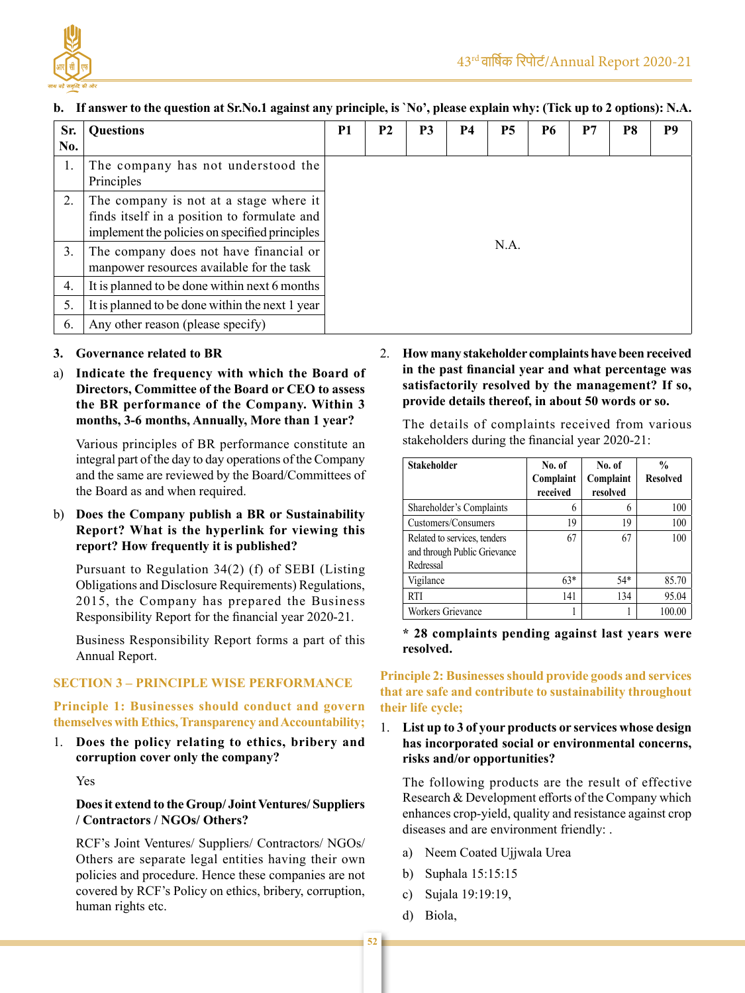

| Sr.<br>No. | <b>Questions</b>                                                                                                                        | P <sub>1</sub> | <b>P2</b> | P <sub>3</sub> | <b>P4</b> | <b>P5</b> | <b>P6</b> | P7 | P8 | P <sub>9</sub> |
|------------|-----------------------------------------------------------------------------------------------------------------------------------------|----------------|-----------|----------------|-----------|-----------|-----------|----|----|----------------|
| 1.         | The company has not understood the<br>Principles                                                                                        |                |           |                |           |           |           |    |    |                |
| 2.         | The company is not at a stage where it<br>finds itself in a position to formulate and<br>implement the policies on specified principles |                |           |                |           |           |           |    |    |                |
| 3.         | The company does not have financial or<br>manpower resources available for the task                                                     | N.A.           |           |                |           |           |           |    |    |                |
| 4.         | It is planned to be done within next 6 months                                                                                           |                |           |                |           |           |           |    |    |                |
| 5.         | It is planned to be done within the next 1 year                                                                                         |                |           |                |           |           |           |    |    |                |
| 6.         | Any other reason (please specify)                                                                                                       |                |           |                |           |           |           |    |    |                |

### b. If answer to the question at Sr.No.1 against any principle, is 'No', please explain why: (Tick up to 2 options): N.A.

- **3. Governance related to BR**
- a) **Indicate the frequency with which the Board of Directors, Committee of the Board or CEO to assess the BR performance of the Company. Within 3 months, 3-6 months, Annually, More than 1 year?**

Various principles of BR performance constitute an integral part of the day to day operations of the Company and the same are reviewed by the Board/Committees of the Board as and when required.

# b) **Does the Company publish a BR or Sustainability Report? What is the hyperlink for viewing this report? How frequently it is published?**

Pursuant to Regulation 34(2) (f) of SEBI (Listing Obligations and Disclosure Requirements) Regulations, 2015, the Company has prepared the Business Responsibility Report for the financial year 2020-21.

Business Responsibility Report forms a part of this Annual Report.

# **SECTION 3 – PRINCIPLE WISE PERFORMANCE**

# **Principle 1: Businesses should conduct and govern themselves** with Ethics, Transparency and Accountability;

1. **Does the policy relating to ethics, bribery and corruption cover only the company?**

Yes

# **Doesit extend to the Group/ Joint Ventures/ Suppliers / Contractors / NGOs/ Others?**

RCF's Joint Ventures/ Suppliers/ Contractors/ NGOs/ Others are separate legal entities having their own policies and procedure. Hence these companies are not covered by RCF's Policy on ethics, bribery, corruption, human rights etc.

2. **How many stakeholder complaints have been received in the past financial year and what percentage was satisfactorily resolved by the management? If so, provide details thereof, in about 50 words or so.**

The details of complaints received from various stakeholders during the financial year 2020-21:

| <b>Stakeholder</b>           | No. of    | No. of    | $\frac{0}{0}$   |
|------------------------------|-----------|-----------|-----------------|
|                              | Complaint | Complaint | <b>Resolved</b> |
|                              | received  | resolved  |                 |
| Shareholder's Complaints     | 6         | 6         | 100             |
| Customers/Consumers          | 19        | 19        | 100             |
| Related to services, tenders | 67        | 67        | 100             |
| and through Public Grievance |           |           |                 |
| Redressal                    |           |           |                 |
| Vigilance                    | $63*$     | $54*$     | 85.70           |
| <b>RTI</b>                   | 141       | 134       | 95.04           |
| <b>Workers Grievance</b>     |           |           | 100.00          |

**\* 28 complaints pending against last years were resolved.**

# **Principle 2: Businessesshould provide goods and services that are safe and contribute to sustainability throughout their life cycle;**

# 1. **List up to 3 of your products or services whose design has incorporated social or environmental concerns, risks and/or opportunities?**

The following products are the result of effective Research & Development efforts of the Company which enhances crop-yield, quality and resistance against crop diseases and are environment friendly: .

- a) Neem Coated Ujjwala Urea
- b) Suphala 15:15:15
- c) Sujala 19:19:19,
- d) Biola,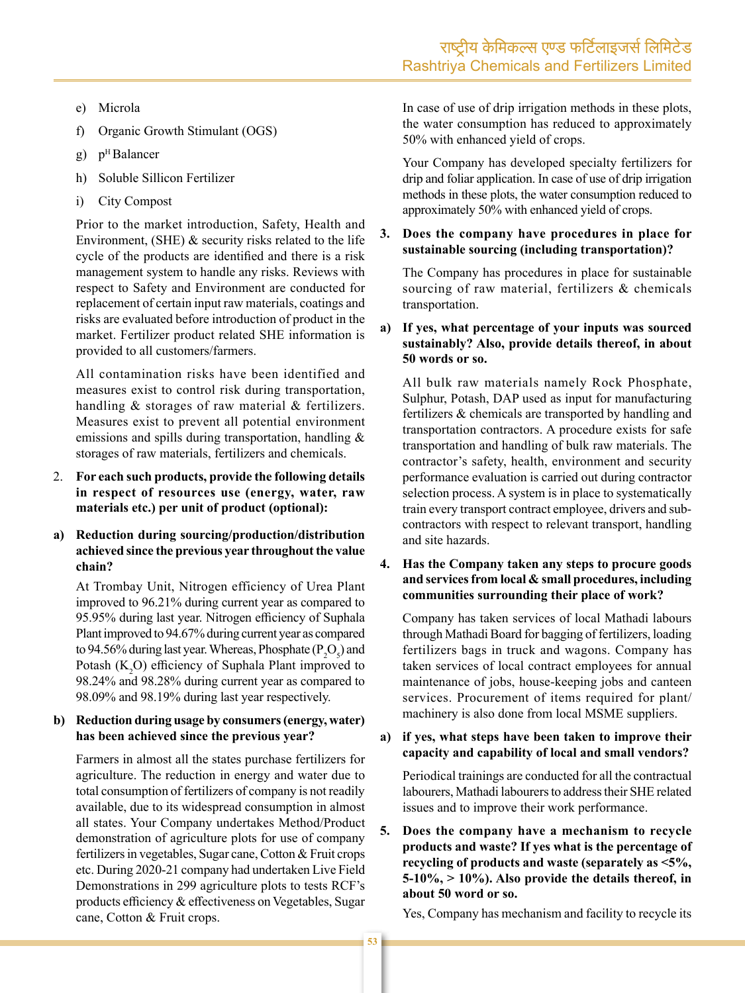- e) Microla
- $f$ ) Organic Growth Stimulant (OGS)
- $g)$  $p<sup>H</sup>$  Balancer
- h) Soluble Sillicon Fertilizer
- **City Compost**  $i)$

Prior to the market introduction, Safety, Health and Environment, (SHE)  $&$  security risks related to the life cycle of the products are identified and there is a risk management system to handle any risks. Reviews with respect to Safety and Environment are conducted for replacement of certain input raw materials, coatings and risks are evaluated before introduction of product in the market. Fertilizer product related SHE information is provided to all customers/farmers.

All contamination risks have been identified and measures exist to control risk during transportation, handling & storages of raw material & fertilizers. Measures exist to prevent all potential environment emissions and spills during transportation, handling & storages of raw materials, fertilizers and chemicals.

- 2. For each such products, provide the following details in respect of resources use (energy, water, raw materials etc.) per unit of product (optional):
- $a)$ Reduction during sourcing/production/distribution achieved since the previous year throughout the value chain?

At Trombay Unit, Nitrogen efficiency of Urea Plant improved to 96.21% during current year as compared to 95.95% during last year. Nitrogen efficiency of Suphala Plant improved to 94.67% during current year as compared to 94.56% during last year. Whereas, Phosphate  $(P_2O_5)$  and Potash  $(K<sub>2</sub>O)$  efficiency of Suphala Plant improved to 98.24% and 98.28% during current year as compared to 98.09% and 98.19% during last year respectively.

#### b) Reduction during usage by consumers (energy, water) has been achieved since the previous year?

Farmers in almost all the states purchase fertilizers for agriculture. The reduction in energy and water due to total consumption of fertilizers of company is not readily available, due to its widespread consumption in almost all states. Your Company undertakes Method/Product demonstration of agriculture plots for use of company fertilizers in vegetables, Sugar cane, Cotton & Fruit crops etc. During 2020-21 company had undertaken Live Field Demonstrations in 299 agriculture plots to tests RCF's products efficiency & effectiveness on Vegetables, Sugar cane, Cotton & Fruit crops.

In case of use of drip irrigation methods in these plots, the water consumption has reduced to approximately 50% with enhanced yield of crops.

Your Company has developed specialty fertilizers for drip and foliar application. In case of use of drip irrigation methods in these plots, the water consumption reduced to approximately 50% with enhanced yield of crops.

#### $3.$ Does the company have procedures in place for sustainable sourcing (including transportation)?

The Company has procedures in place for sustainable sourcing of raw material, fertilizers & chemicals transportation.

#### a) If yes, what percentage of your inputs was sourced sustainably? Also, provide details thereof, in about 50 words or so.

All bulk raw materials namely Rock Phosphate, Sulphur, Potash, DAP used as input for manufacturing fertilizers & chemicals are transported by handling and transportation contractors. A procedure exists for safe transportation and handling of bulk raw materials. The contractor's safety, health, environment and security performance evaluation is carried out during contractor selection process. A system is in place to systematically train every transport contract employee, drivers and subcontractors with respect to relevant transport, handling and site hazards.

### 4. Has the Company taken any steps to procure goods and services from local & small procedures, including communities surrounding their place of work?

Company has taken services of local Mathadi labours through Mathadi Board for bagging of fertilizers, loading fertilizers bags in truck and wagons. Company has taken services of local contract employees for annual maintenance of jobs, house-keeping jobs and canteen services. Procurement of items required for plant/ machinery is also done from local MSME suppliers.

# a) if yes, what steps have been taken to improve their capacity and capability of local and small vendors?

Periodical trainings are conducted for all the contractual labourers, Mathadi labourers to address their SHE related issues and to improve their work performance.

5. Does the company have a mechanism to recycle products and waste? If yes what is the percentage of recycling of products and waste (separately as <5%,  $5-10\%$ ,  $>10\%$ ). Also provide the details thereof, in about 50 word or so.

Yes, Company has mechanism and facility to recycle its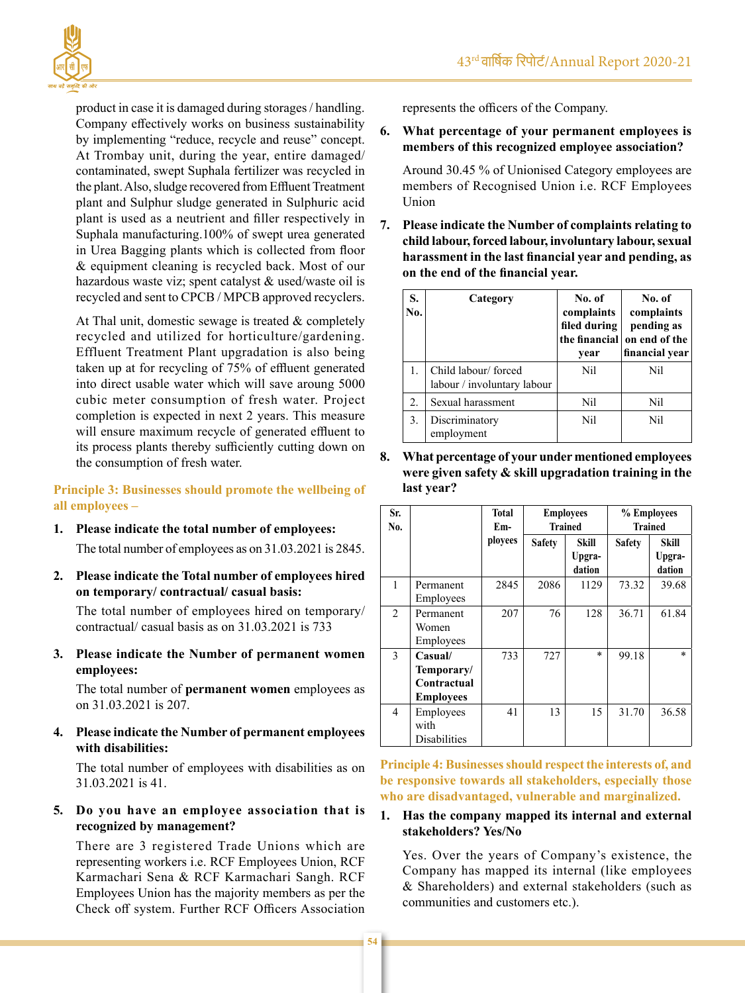

product in case it is damaged during storages / handling. Company effectively works on business sustainability by implementing "reduce, recycle and reuse" concept. At Trombay unit, during the year, entire damaged/ contaminated, swept Suphala fertilizer was recycled in the plant. Also, sludge recovered from Effluent Treatment plant and Sulphur sludge generated in Sulphuric acid plant is used as a neutrient and filler respectively in Suphala manufacturing.100% of swept urea generated in Urea Bagging plants which is collected from floor & equipment cleaning is recycled back. Most of our hazardous waste viz; spent catalyst & used/waste oil is recycled and sent to CPCB / MPCB approved recyclers.

At Thal unit, domestic sewage is treated & completely recycled and utilized for horticulture/gardening. Effluent Treatment Plant upgradation is also being taken up at for recycling of 75% of effluent generated into direct usable water which will save aroung 5000 cubic meter consumption of fresh water. Project completion is expected in next 2 years. This measure will ensure maximum recycle of generated effluent to its process plants thereby sufficiently cutting down on the consumption of fresh water.

**Principle 3: Businesses should promote the wellbeing of all employees –**

- **1. Please indicate the total number of employees:** The total number of employees as on 31.03.2021 is 2845.
- **2. Please indicate the Total number of employees hired on temporary/ contractual/ casual basis:**

The total number of employees hired on temporary/ contractual/ casual basis as on 31.03.2021 is 733

**3. Please indicate the Number of permanent women employees:**

The total number of **permanent women** employees as on 31.03.2021 is 207.

**4. Please indicate the Number of permanent employees with disabilities:**

The total number of employees with disabilities as on 31.03.2021 is 41.

### **5. Do you have an employee association that is recognized by management?**

There are 3 registered Trade Unions which are representing workers i.e. RCF Employees Union, RCF Karmachari Sena & RCF Karmachari Sangh. RCF Employees Union has the majority members as per the Check off system. Further RCF Officers Association represents the officers of the Company.

**6. What percentage of your permanent employees is members of this recognized employee association?**

Around 30.45 % of Unionised Category employees are members of Recognised Union i.e. RCF Employees Union

**7. Please indicate the Number of complaints relating to child labour,forced labour, involuntary labour,sexual harassment in the last financial year and pending, as on the end of the financial year.**

| S.<br>No. | Category                                           | No. of<br>complaints<br>filed during<br>the financial<br>year | No. of<br>complaints<br>pending as<br>on end of the<br>financial year |
|-----------|----------------------------------------------------|---------------------------------------------------------------|-----------------------------------------------------------------------|
|           | Child labour/forced<br>labour / involuntary labour | Nil                                                           | Nil                                                                   |
| 2.        | Sexual harassment                                  | Nil                                                           | Nil                                                                   |
| 3.        | Discriminatory<br>employment                       | Nil                                                           | Nil                                                                   |

**8. What percentage of your under mentioned employees were given safety & skill upgradation training in the last year?**

| Sr.            |                                                          | <b>Total</b> |               | <b>Employees</b> | % Employees    |                  |  |
|----------------|----------------------------------------------------------|--------------|---------------|------------------|----------------|------------------|--|
| No.            |                                                          | Em-          |               | <b>Trained</b>   | <b>Trained</b> |                  |  |
|                |                                                          | ployees      | <b>Safety</b> | Skill            | <b>Safety</b>  | <b>Skill</b>     |  |
|                |                                                          |              |               | Upgra-<br>dation |                | Upgra-<br>dation |  |
| 1              | Permanent<br>Employees                                   | 2845         | 2086          | 1129             | 73.32          | 39.68            |  |
| $\overline{2}$ | Permanent<br>Women<br>Employees                          | 207          | 76            | 128              | 36.71          | 61.84            |  |
| $\mathcal{E}$  | Casual/<br>Temporary/<br>Contractual<br><b>Employees</b> | 733          | 727           | $\ast$           | 99.18          | $\mathbf{x}$     |  |
| 4              | Employees<br>with<br><b>Disabilities</b>                 | 41           | 13            | 15               | 31.70          | 36.58            |  |

**Principle 4: Businessesshould respect the interests of, and be responsive towards all stakeholders, especially those who are disadvantaged, vulnerable and marginalized.**

#### **1. Has the company mapped its internal and external stakeholders? Yes/No**

Yes. Over the years of Company's existence, the Company has mapped its internal (like employees & Shareholders) and external stakeholders (such as communities and customers etc.).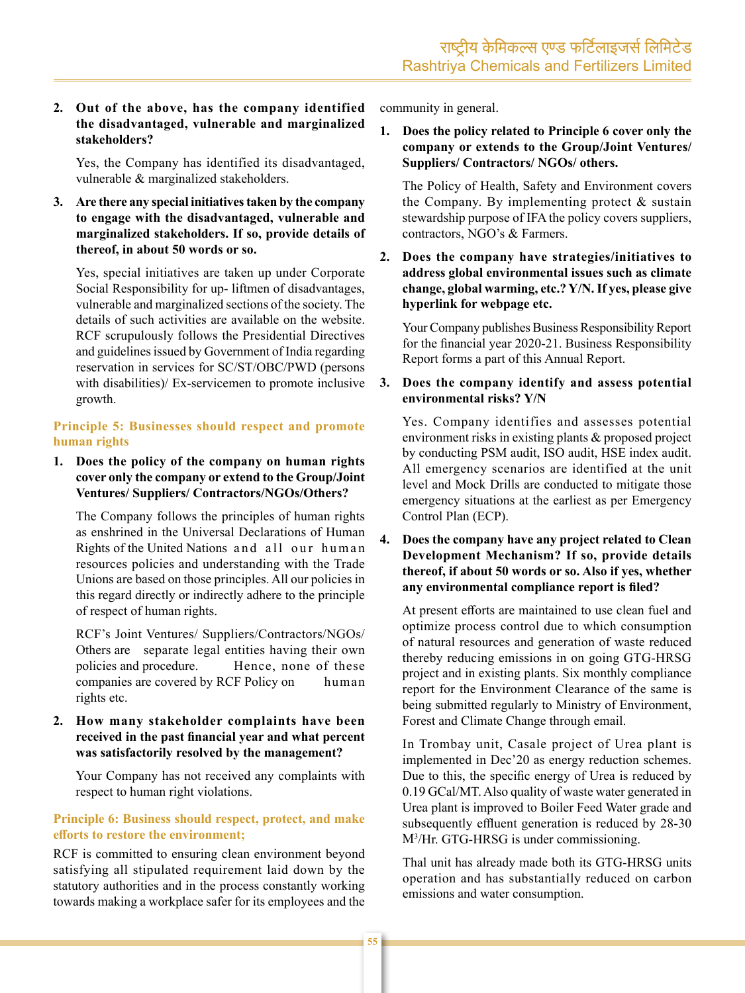#### 2. Out of the above, has the company identified the disadvantaged, vulnerable and marginalized stakeholders?

Yes, the Company has identified its disadvantaged, vulnerable & marginalized stakeholders.

3. Are there any special initiatives taken by the company to engage with the disadvantaged, vulnerable and marginalized stakeholders. If so, provide details of thereof, in about 50 words or so.

Yes, special initiatives are taken up under Corporate Social Responsibility for up- liftmen of disadvantages, vulnerable and marginalized sections of the society. The details of such activities are available on the website. RCF scrupulously follows the Presidential Directives and guidelines issued by Government of India regarding reservation in services for SC/ST/OBC/PWD (persons with disabilities)/ Ex-servicemen to promote inclusive growth.

#### Principle 5: Businesses should respect and promote human rights

1. Does the policy of the company on human rights cover only the company or extend to the Group/Joint **Ventures/Suppliers/Contractors/NGOs/Others?** 

The Company follows the principles of human rights as enshrined in the Universal Declarations of Human Rights of the United Nations and all our human resources policies and understanding with the Trade Unions are based on those principles. All our policies in this regard directly or indirectly adhere to the principle of respect of human rights.

RCF's Joint Ventures/ Suppliers/Contractors/NGOs/ Others are separate legal entities having their own policies and procedure. Hence, none of these companies are covered by RCF Policy on human rights etc.

#### 2. How many stakeholder complaints have been received in the past financial year and what percent was satisfactorily resolved by the management?

Your Company has not received any complaints with respect to human right violations.

### Principle 6: Business should respect, protect, and make efforts to restore the environment;

RCF is committed to ensuring clean environment beyond satisfying all stipulated requirement laid down by the statutory authorities and in the process constantly working towards making a workplace safer for its employees and the

community in general.

1. Does the policy related to Principle 6 cover only the company or extends to the Group/Joint Ventures/ Suppliers/Contractors/NGOs/others.

The Policy of Health, Safety and Environment covers the Company. By implementing protect  $\&$  sustain stewardship purpose of IFA the policy covers suppliers, contractors, NGO's & Farmers.

2. Does the company have strategies/initiatives to address global environmental issues such as climate change, global warming, etc.? Y/N. If yes, please give hyperlink for webpage etc.

Your Company publishes Business Responsibility Report for the financial year 2020-21. Business Responsibility Report forms a part of this Annual Report.

Does the company identify and assess potential 3. environmental risks? Y/N

Yes. Company identifies and assesses potential environment risks in existing plants & proposed project by conducting PSM audit, ISO audit, HSE index audit. All emergency scenarios are identified at the unit level and Mock Drills are conducted to mitigate those emergency situations at the earliest as per Emergency Control Plan (ECP).

 $\overline{4}$ . Does the company have any project related to Clean Development Mechanism? If so, provide details thereof, if about 50 words or so. Also if yes, whether any environmental compliance report is filed?

At present efforts are maintained to use clean fuel and optimize process control due to which consumption of natural resources and generation of waste reduced thereby reducing emissions in on going GTG-HRSG project and in existing plants. Six monthly compliance report for the Environment Clearance of the same is being submitted regularly to Ministry of Environment, Forest and Climate Change through email.

In Trombay unit, Casale project of Urea plant is implemented in Dec'20 as energy reduction schemes. Due to this, the specific energy of Urea is reduced by 0.19 GCal/MT. Also quality of waste water generated in Urea plant is improved to Boiler Feed Water grade and subsequently effluent generation is reduced by 28-30 M<sup>3</sup>/Hr. GTG-HRSG is under commissioning.

Thal unit has already made both its GTG-HRSG units operation and has substantially reduced on carbon emissions and water consumption.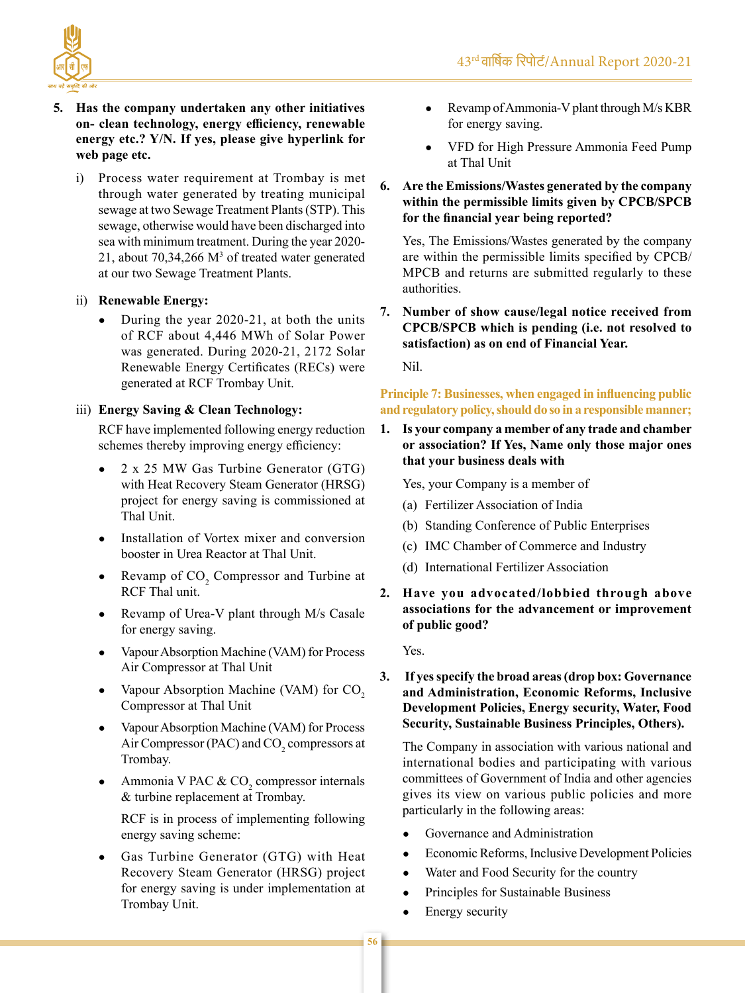

- **5. Has the company undertaken any other initiatives on- clean technology, energy efficiency, renewable energy etc.? Y/N. If yes, please give hyperlink for web page etc.**
	- i) Process water requirement at Trombay is met through water generated by treating municipal sewage at two Sewage Treatment Plants (STP). This sewage, otherwise would have been discharged into sea with minimum treatment. During the year 2020- 21, about  $70,34,266$  M<sup>3</sup> of treated water generated at our two Sewage Treatment Plants.

# ii) **Renewable Energy:**

During the year  $2020-21$ , at both the units of RCF about 4,446 MWh of Solar Power was generated. During 2020-21, 2172 Solar Renewable Energy Certificates (RECs) were generated at RCF Trombay Unit.

# iii) **Energy Saving & Clean Technology:**

RCF have implemented following energy reduction schemes thereby improving energy efficiency:

- 2 x 25 MW Gas Turbine Generator (GTG) with Heat Recovery Steam Generator (HRSG) project for energy saving is commissioned at Thal Unit.
- Installation of Vortex mixer and conversion booster in Urea Reactor at Thal Unit.
- Revamp of  $CO<sub>2</sub>$  Compressor and Turbine at RCF Thal unit.
	- Revamp of Urea-V plant through M/s Casale for energy saving.
	- Vapour Absorption Machine (VAM) for Process Air Compressor at Thal Unit
	- Vapour Absorption Machine (VAM) for  $CO<sub>2</sub>$ Compressor at Thal Unit
	- Vapour Absorption Machine (VAM) for Process Air Compressor (PAC) and  $CO<sub>2</sub>$  compressors at Trombay.
- Ammonia V PAC &  $CO_2$  compressor internals & turbine replacement at Trombay.

RCF is in process of implementing following energy saving scheme:

Gas Turbine Generator (GTG) with Heat Recovery Steam Generator (HRSG) project for energy saving is under implementation at Trombay Unit.

- Revamp of Ammonia-V plant through M/s KBR for energy saving.
- VFD for High Pressure Ammonia Feed Pump at Thal Unit

# **6. Are the Emissions/Wastes generated by the company within the permissible limits given by CPCB/SPCB for the financial year being reported?**

Yes, The Emissions/Wastes generated by the company are within the permissible limits specified by CPCB/ MPCB and returns are submitted regularly to these authorities.

**7. Number of show cause/legal notice received from CPCB/SPCB which is pending (i.e. not resolved to satisfaction) as on end of Financial Year.**

Nil.

### **Principle 7: Businesses, when engaged in influencing public and regulatorypolicy,shoulddo so ina responsible manner;**

**1. Is your company a member of any trade and chamber or association? If Yes, Name only those major ones that your business deals with**

Yes, your Company is a member of

- (a) Fertilizer Association of India
- (b) Standing Conference of Public Enterprises
- (c) IMC Chamber of Commerce and Industry
- (d) International Fertilizer Association
- **2. Have you advocated/lobbied through above associations for the advancement or improvement of public good?**

Yes.

# **3. If yesspecify the broad areas(drop box: Governance and Administration, Economic Reforms, Inclusive Development Policies, Energy security, Water, Food Security, Sustainable Business Principles, Others).**

The Company in association with various national and international bodies and participating with various committees of Government of India and other agencies gives its view on various public policies and more particularly in the following areas:

- Governance and Administration
- Economic Reforms, Inclusive Development Policies
- Water and Food Security for the country
- Principles for Sustainable Business
- Energy security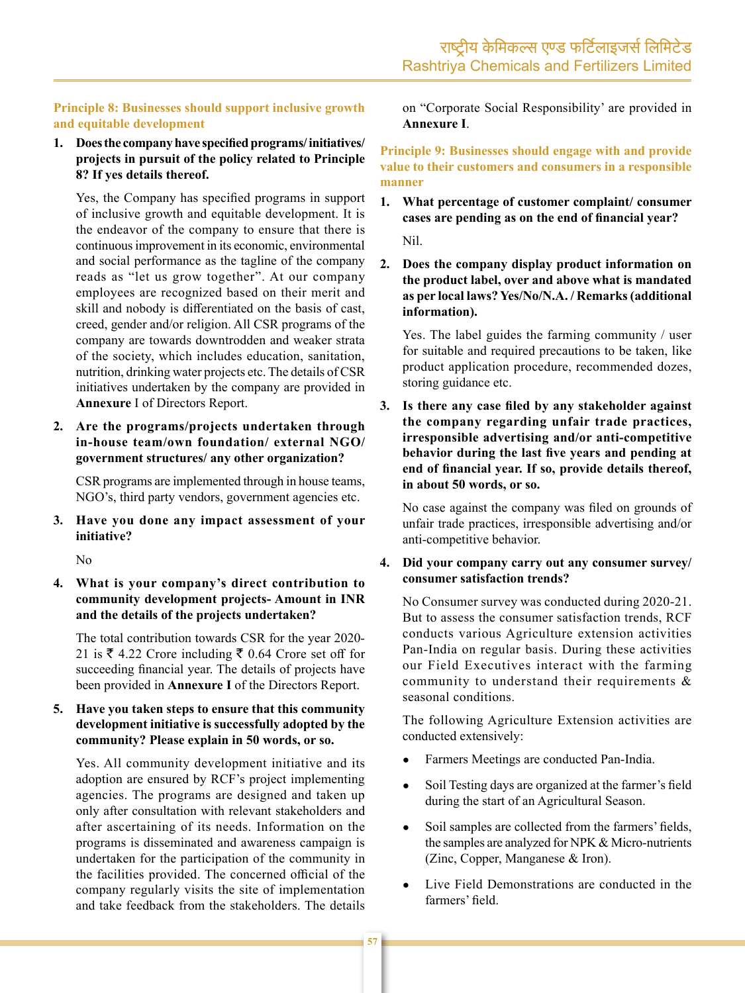# Principle 8: Businesses should support inclusive growth and equitable development

1. Does the company have specified programs/initiatives/ projects in pursuit of the policy related to Principle 8? If yes details thereof.

Yes, the Company has specified programs in support of inclusive growth and equitable development. It is the endeavor of the company to ensure that there is continuous improvement in its economic, environmental and social performance as the tagline of the company reads as "let us grow together". At our company employees are recognized based on their merit and skill and nobody is differentiated on the basis of cast, creed, gender and/or religion. All CSR programs of the company are towards downtrodden and weaker strata of the society, which includes education, sanitation, nutrition, drinking water projects etc. The details of CSR initiatives undertaken by the company are provided in Annexure I of Directors Report.

2. Are the programs/projects undertaken through in-house team/own foundation/ external NGO/ government structures/ any other organization?

CSR programs are implemented through in house teams, NGO's, third party vendors, government agencies etc.

3. Have you done any impact assessment of your initiative?

N<sub>o</sub>

4. What is your company's direct contribution to community development projects- Amount in INR and the details of the projects undertaken?

The total contribution towards CSR for the year 2020-21 is ₹ 4.22 Crore including ₹ 0.64 Crore set off for succeeding financial year. The details of projects have been provided in **Annexure I** of the Directors Report.

#### 5. Have you taken steps to ensure that this community development initiative is successfully adopted by the community? Please explain in 50 words, or so.

Yes. All community development initiative and its adoption are ensured by RCF's project implementing agencies. The programs are designed and taken up only after consultation with relevant stakeholders and after ascertaining of its needs. Information on the programs is disseminated and awareness campaign is undertaken for the participation of the community in the facilities provided. The concerned official of the company regularly visits the site of implementation and take feedback from the stakeholders. The details

on "Corporate Social Responsibility' are provided in **Annexure I.** 

Principle 9: Businesses should engage with and provide value to their customers and consumers in a responsible manner

 $1.$ What percentage of customer complaint/consumer cases are pending as on the end of financial year?

Nil.

 $2.$ Does the company display product information on the product label, over and above what is mandated as per local laws? Yes/No/N.A. / Remarks (additional information).

Yes. The label guides the farming community / user for suitable and required precautions to be taken, like product application procedure, recommended dozes, storing guidance etc.

3. Is there any case filed by any stakeholder against the company regarding unfair trade practices, irresponsible advertising and/or anti-competitive behavior during the last five years and pending at end of financial year. If so, provide details thereof, in about 50 words, or so.

No case against the company was filed on grounds of unfair trade practices, irresponsible advertising and/or anti-competitive behavior.

4. Did your company carry out any consumer survey/ consumer satisfaction trends?

No Consumer survey was conducted during 2020-21. But to assess the consumer satisfaction trends, RCF conducts various Agriculture extension activities Pan-India on regular basis. During these activities our Field Executives interact with the farming community to understand their requirements  $\&$ seasonal conditions.

The following Agriculture Extension activities are conducted extensively:

- Farmers Meetings are conducted Pan-India.
- Soil Testing days are organized at the farmer's field  $\bullet$ during the start of an Agricultural Season.
- Soil samples are collected from the farmers' fields, the samples are analyzed for NPK & Micro-nutrients (Zinc, Copper, Manganese  $&$  Iron).
- Live Field Demonstrations are conducted in the farmers' field.